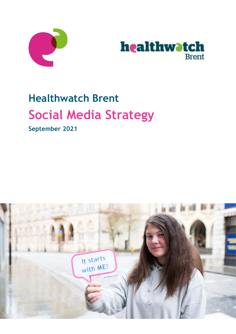



# **Healthwatch Brent Social Media Strategy**

**September 2021**

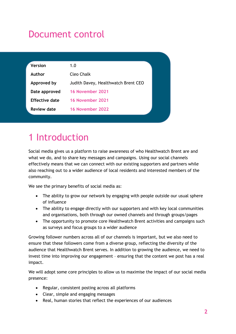## Document control

| <b>Version</b>        | 1.0                                 |
|-----------------------|-------------------------------------|
| Author                | Cleo Chalk                          |
| Approved by           | Judith Davey, Healthwatch Brent CEO |
| Date approved         | 16 November 2021                    |
| <b>Effective date</b> | 16 November 2021                    |
| <b>Review date</b>    | 16 November 2022                    |

# 1 Introduction

Social media gives us a platform to raise awareness of who Healthwatch Brent are and what we do, and to share key messages and campaigns. Using our social channels effectively means that we can connect with our existing supporters and partners while also reaching out to a wider audience of local residents and interested members of the community.

We see the primary benefits of social media as:

- The ability to grow our network by engaging with people outside our usual sphere of influence
- The ability to engage directly with our supporters and with key local communities and organisations, both through our owned channels and through groups/pages
- The opportunity to promote core Healthwatch Brent activities and campaigns such as surveys and focus groups to a wider audience

Growing follower numbers across all of our channels is important, but we also need to ensure that these followers come from a diverse group, reflecting the diversity of the audience that Healthwatch Brent serves. In addition to growing the audience, we need to invest time into improving our engagement – ensuring that the content we post has a real impact.

We will adopt some core principles to allow us to maximise the impact of our social media presence:

- Regular, consistent posting across all platforms
- Clear, simple and engaging messages
- Real, human stories that reflect the experiences of our audiences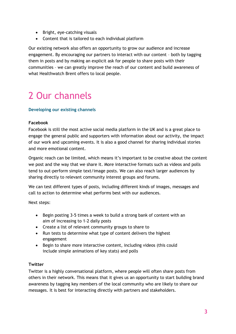- Bright, eye-catching visuals
- Content that is tailored to each individual platform

Our existing network also offers an opportunity to grow our audience and increase engagement. By encouraging our partners to interact with our content – both by tagging them in posts and by making an explicit ask for people to share posts with their communities – we can greatly improve the reach of our content and build awareness of what Healthwatch Brent offers to local people.

# 2 Our channels

### **Developing our existing channels**

### **Facebook**

Facebook is still the most active social media platform in the UK and is a great place to engage the general public and supporters with information about our activity, the impact of our work and upcoming events. It is also a good channel for sharing individual stories and more emotional content.

Organic reach can be limited, which means it's important to be creative about the content we post and the way that we share it. More interactive formats such as videos and polls tend to out-perform simple text/image posts. We can also reach larger audiences by sharing directly to relevant community interest groups and forums.

We can test different types of posts, including different kinds of images, messages and call to action to determine what performs best with our audiences.

Next steps:

- Begin posting 3-5 times a week to build a strong bank of content with an aim of increasing to 1-2 daily posts
- Create a list of relevant community groups to share to
- Run tests to determine what type of content delivers the highest engagement
- Begin to share more interactive content, including videos (this could include simple animations of key stats) and polls

### **Twitter**

Twitter is a highly conversational platform, where people will often share posts from others in their network. This means that it gives us an opportunity to start building brand awareness by tagging key members of the local community who are likely to share our messages. It is best for interacting directly with partners and stakeholders.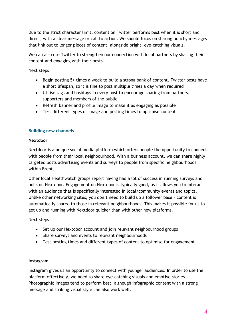Due to the strict character limit, content on Twitter performs best when it is short and direct, with a clear message or call to action. We should focus on sharing punchy messages that link out to longer pieces of content, alongside bright, eye-catching visuals.

We can also use Twitter to strengthen our connection with local partners by sharing their content and engaging with their posts.

Next steps

- Begin posting 5+ times a week to build a strong bank of content. Twitter posts have a short lifespan, so it is fine to post multiple times a day when required
- Utilise tags and hashtags in every post to encourage sharing from partners, supporters and members of the public
- Refresh banner and profile image to make it as engaging as possible
- Test different types of image and posting times to optimise content

### **Building new channels**

### **Nextdoor**

Nextdoor is a unique social media platform which offers people the opportunity to connect with people from their local neighbourhood. With a business account, we can share highly targeted posts advertising events and surveys to people from specific neighbourhoods within Brent.

Other local Healthwatch groups report having had a lot of success in running surveys and polls on Nextdoor. Engagement on Nextdoor is typically good, as it allows you to interact with an audience that is specifically interested in local/community events and topics. Unlike other networking sites, you don't need to build up a follower base – content is automatically shared to those in relevant neighbourhoods. This makes it possible for us to get up and running with Nextdoor quicker than with other new platforms.

### Next steps

- Set up our Nextdoor account and join relevant neighbourhood groups
- Share surveys and events to relevant neighbourhoods
- Test posting times and different types of content to optimise for engagement

### **Instagram**

Instagram gives us an opportunity to connect with younger audiences. In order to use the platform effectively, we need to share eye-catching visuals and emotive stories. Photographic images tend to perform best, although infographic content with a strong message and striking visual style can also work well.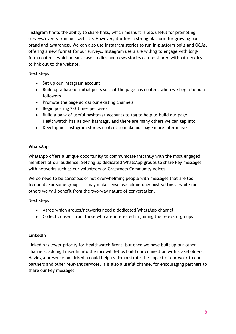Instagram limits the ability to share links, which means it is less useful for promoting surveys/events from our website. However, it offers a strong platform for growing our brand and awareness. We can also use Instagram stories to run in-platform polls and Q&As, offering a new format for our surveys. Instagram users are willing to engage with longform content, which means case studies and news stories can be shared without needing to link out to the website.

### Next steps

- Set up our Instagram account
- Build up a base of initial posts so that the page has content when we begin to build followers
- Promote the page across our existing channels
- Begin posting 2-3 times per week
- Build a bank of useful hashtags/ accounts to tag to help us build our page. Healthwatch has its own hashtags, and there are many others we can tap into
- Develop our Instagram stories content to make our page more interactive

### **WhatsApp**

WhatsApp offers a unique opportunity to communicate instantly with the most engaged members of our audience. Setting up dedicated WhatsApp groups to share key messages with networks such as our volunteers or Grassroots Community Voices.

We do need to be conscious of not overwhelming people with messages that are too frequent. For some groups, it may make sense use admin-only post settings, while for others we will benefit from the two-way nature of conversation.

Next steps

- Agree which groups/networks need a dedicated WhatsApp channel
- Collect consent from those who are interested in joining the relevant groups

### **LinkedIn**

LinkedIn is lower priority for Healthwatch Brent, but once we have built up our other channels, adding LinkedIn into the mix will let us build our connection with stakeholders. Having a presence on LinkedIn could help us demonstrate the impact of our work to our partners and other relevant services. It is also a useful channel for encouraging partners to share our key messages.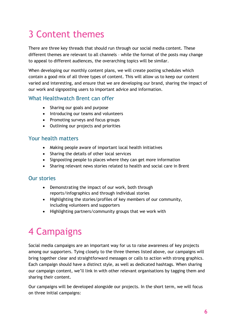# 3 Content themes

There are three key threads that should run through our social media content. These different themes are relevant to all channels – while the format of the posts may change to appeal to different audiences, the overarching topics will be similar.

When developing our monthly content plans, we will create posting schedules which contain a good mix of all three types of content. This will allow us to keep our content varied and interesting, and ensure that we are developing our brand, sharing the impact of our work and signposting users to important advice and information.

### What Healthwatch Brent can offer

- Sharing our goals and purpose
- Introducing our teams and volunteers
- Promoting surveys and focus groups
- Outlining our projects and priorities

### Your health matters

- Making people aware of important local health initiatives
- Sharing the details of other local services
- Signposting people to places where they can get more information
- Sharing relevant news stories related to health and social care in Brent

### Our stories

- Demonstrating the impact of our work, both through reports/infographics and through individual stories
- Highlighting the stories/profiles of key members of our community, including volunteers and supporters
- Highlighting partners/community groups that we work with

# 4 Campaigns

Social media campaigns are an important way for us to raise awareness of key projects among our supporters. Tying closely to the three themes listed above, our campaigns will bring together clear and straightforward messages or calls to action with strong graphics. Each campaign should have a distinct style, as well as dedicated hashtags. When sharing our campaign content, we'll link in with other relevant organisations by tagging them and sharing their content.

Our campaigns will be developed alongside our projects. In the short term, we will focus on three initial campaigns: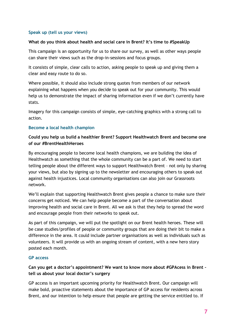### **Speak up (tell us your views)**

### **What do you think about health and social care in Brent? It's time to #SpeakUp**

This campaign is an opportunity for us to share our survey, as well as other ways people can share their views such as the drop-in-sessions and focus groups.

It consists of simple, clear calls to action, asking people to speak up and giving them a clear and easy route to do so.

Where possible, it should also include strong quotes from members of our network explaining what happens when you decide to speak out for your community. This would help us to demonstrate the impact of sharing information even if we don't currently have stats.

Imagery for this campaign consists of simple, eye-catching graphics with a strong call to action.

### **Become a local health champion**

### **Could you help us build a healthier Brent? Support Healthwatch Brent and become one of our #BrentHealthHeroes**

By encouraging people to become local health champions, we are building the idea of Healthwatch as something that the whole community can be a part of. We need to start telling people about the different ways to support Healthwatch Brent – not only by sharing your views, but also by signing up to the newsletter and encouraging others to speak out against health injustices. Local community organisations can also join our Grassroots network.

We'll explain that supporting Healthwatch Brent gives people a chance to make sure their concerns get noticed. We can help people become a part of the conversation about improving health and social care in Brent. All we ask is that they help to spread the word and encourage people from their networks to speak out.

As part of this campaign, we will put the spotlight on our Brent health heroes. These will be case studies/profiles of people or community groups that are doing their bit to make a difference in the area. It could include partner organisations as well as individuals such as volunteers. It will provide us with an ongoing stream of content, with a new hero story posted each month.

#### **GP access**

### **Can you get a doctor's appointment? We want to know more about #GPAcess in Brent – tell us about your local doctor's surgery**

GP access is an important upcoming priority for Healthwatch Brent. Our campaign will make bold, proactive statements about the importance of GP access for residents across Brent, and our intention to help ensure that people are getting the service entitled to. If